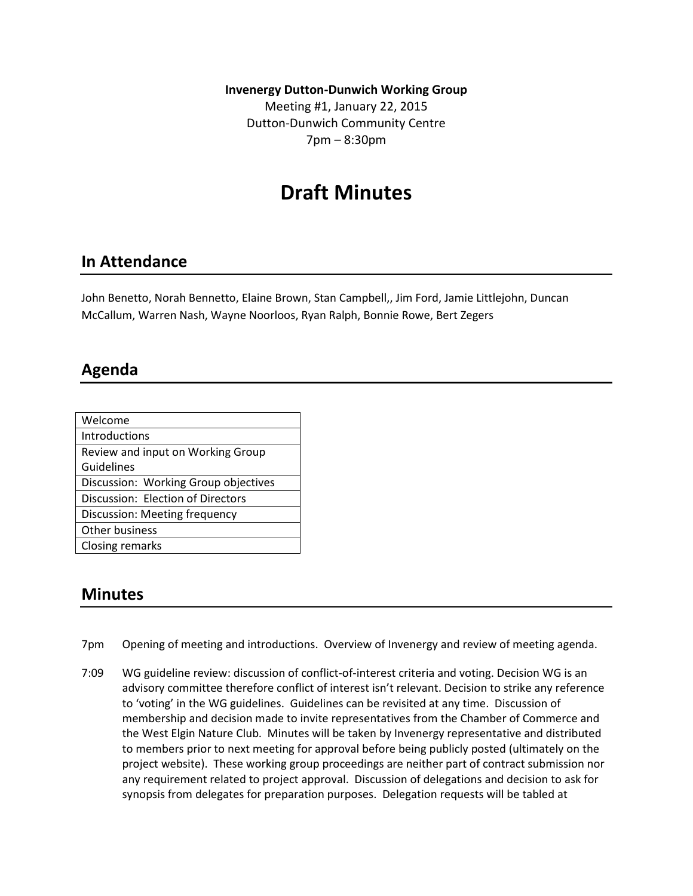**Invenergy Dutton-Dunwich Working Group** 

Meeting #1, January 22, 2015 Dutton-Dunwich Community Centre 7pm – 8:30pm

# **Draft Minutes**

#### **In Attendance**

John Benetto, Norah Bennetto, Elaine Brown, Stan Campbell,, Jim Ford, Jamie Littlejohn, Duncan McCallum, Warren Nash, Wayne Noorloos, Ryan Ralph, Bonnie Rowe, Bert Zegers

## **Agenda**

| Welcome                              |
|--------------------------------------|
| Introductions                        |
| Review and input on Working Group    |
| Guidelines                           |
| Discussion: Working Group objectives |
| Discussion: Election of Directors    |
| Discussion: Meeting frequency        |
| Other business                       |
| <b>Closing remarks</b>               |

#### **Minutes**

- 7pm Opening of meeting and introductions. Overview of Invenergy and review of meeting agenda.
- 7:09 WG guideline review: discussion of conflict-of-interest criteria and voting. Decision WG is an advisory committee therefore conflict of interest isn't relevant. Decision to strike any reference to 'voting' in the WG guidelines. Guidelines can be revisited at any time. Discussion of membership and decision made to invite representatives from the Chamber of Commerce and the West Elgin Nature Club. Minutes will be taken by Invenergy representative and distributed to members prior to next meeting for approval before being publicly posted (ultimately on the project website). These working group proceedings are neither part of contract submission nor any requirement related to project approval. Discussion of delegations and decision to ask for synopsis from delegates for preparation purposes. Delegation requests will be tabled at